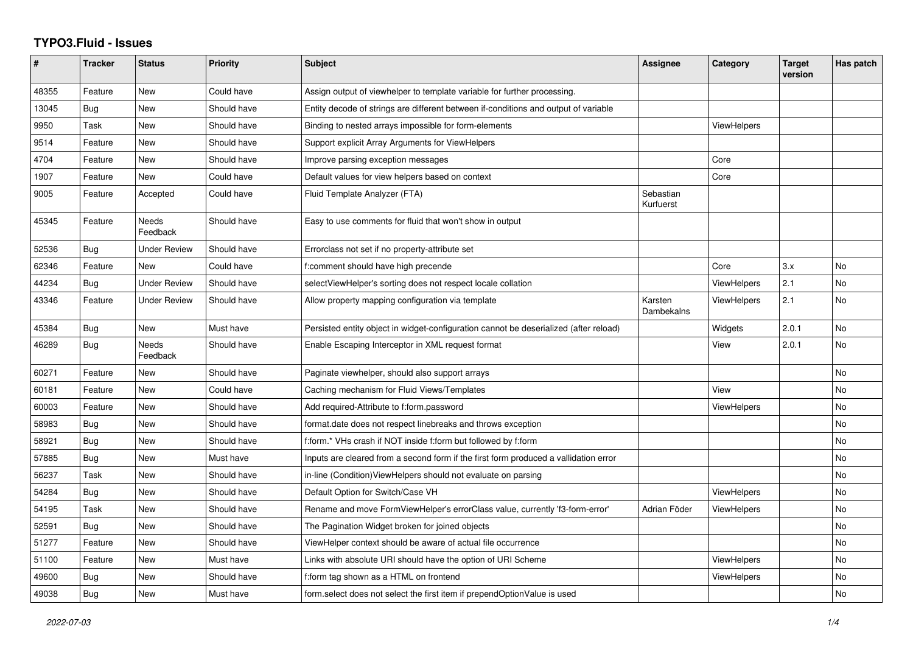## **TYPO3.Fluid - Issues**

| #     | <b>Tracker</b> | <b>Status</b>            | <b>Priority</b> | <b>Subject</b>                                                                        | Assignee               | Category           | <b>Target</b><br>version | Has patch |
|-------|----------------|--------------------------|-----------------|---------------------------------------------------------------------------------------|------------------------|--------------------|--------------------------|-----------|
| 48355 | Feature        | New                      | Could have      | Assign output of viewhelper to template variable for further processing.              |                        |                    |                          |           |
| 13045 | Bug            | New                      | Should have     | Entity decode of strings are different between if-conditions and output of variable   |                        |                    |                          |           |
| 9950  | Task           | New                      | Should have     | Binding to nested arrays impossible for form-elements                                 |                        | <b>ViewHelpers</b> |                          |           |
| 9514  | Feature        | New                      | Should have     | Support explicit Array Arguments for ViewHelpers                                      |                        |                    |                          |           |
| 4704  | Feature        | New                      | Should have     | Improve parsing exception messages                                                    |                        | Core               |                          |           |
| 1907  | Feature        | <b>New</b>               | Could have      | Default values for view helpers based on context                                      |                        | Core               |                          |           |
| 9005  | Feature        | Accepted                 | Could have      | Fluid Template Analyzer (FTA)                                                         | Sebastian<br>Kurfuerst |                    |                          |           |
| 45345 | Feature        | <b>Needs</b><br>Feedback | Should have     | Easy to use comments for fluid that won't show in output                              |                        |                    |                          |           |
| 52536 | Bug            | <b>Under Review</b>      | Should have     | Errorclass not set if no property-attribute set                                       |                        |                    |                          |           |
| 62346 | Feature        | <b>New</b>               | Could have      | f:comment should have high precende                                                   |                        | Core               | 3.x                      | No        |
| 44234 | Bug            | <b>Under Review</b>      | Should have     | selectViewHelper's sorting does not respect locale collation                          |                        | ViewHelpers        | 2.1                      | No        |
| 43346 | Feature        | <b>Under Review</b>      | Should have     | Allow property mapping configuration via template                                     | Karsten<br>Dambekalns  | ViewHelpers        | 2.1                      | <b>No</b> |
| 45384 | Bug            | New                      | Must have       | Persisted entity object in widget-configuration cannot be deserialized (after reload) |                        | Widgets            | 2.0.1                    | No        |
| 46289 | <b>Bug</b>     | Needs<br>Feedback        | Should have     | Enable Escaping Interceptor in XML request format                                     |                        | View               | 2.0.1                    | No        |
| 60271 | Feature        | <b>New</b>               | Should have     | Paginate viewhelper, should also support arrays                                       |                        |                    |                          | <b>No</b> |
| 60181 | Feature        | New                      | Could have      | Caching mechanism for Fluid Views/Templates                                           |                        | View               |                          | <b>No</b> |
| 60003 | Feature        | New                      | Should have     | Add required-Attribute to f:form.password                                             |                        | ViewHelpers        |                          | No        |
| 58983 | Bug            | New                      | Should have     | format.date does not respect linebreaks and throws exception                          |                        |                    |                          | No        |
| 58921 | <b>Bug</b>     | New                      | Should have     | f:form.* VHs crash if NOT inside f:form but followed by f:form                        |                        |                    |                          | <b>No</b> |
| 57885 | <b>Bug</b>     | New                      | Must have       | Inputs are cleared from a second form if the first form produced a vallidation error  |                        |                    |                          | No        |
| 56237 | Task           | New                      | Should have     | in-line (Condition) View Helpers should not evaluate on parsing                       |                        |                    |                          | No        |
| 54284 | Bug            | New                      | Should have     | Default Option for Switch/Case VH                                                     |                        | <b>ViewHelpers</b> |                          | No        |
| 54195 | Task           | New                      | Should have     | Rename and move FormViewHelper's errorClass value, currently 'f3-form-error'          | Adrian Föder           | ViewHelpers        |                          | <b>No</b> |
| 52591 | Bug            | <b>New</b>               | Should have     | The Pagination Widget broken for joined objects                                       |                        |                    |                          | No        |
| 51277 | Feature        | New                      | Should have     | ViewHelper context should be aware of actual file occurrence                          |                        |                    |                          | No        |
| 51100 | Feature        | New                      | Must have       | Links with absolute URI should have the option of URI Scheme                          |                        | <b>ViewHelpers</b> |                          | No        |
| 49600 | Bug            | New                      | Should have     | f:form tag shown as a HTML on frontend                                                |                        | ViewHelpers        |                          | No        |
| 49038 | Bug            | New                      | Must have       | form select does not select the first item if prependOptionValue is used              |                        |                    |                          | <b>No</b> |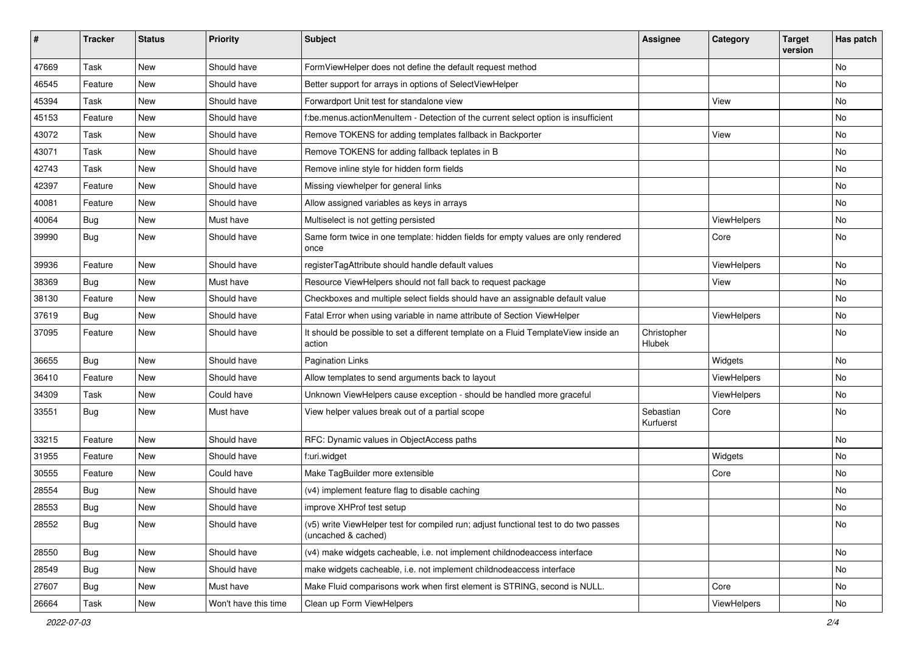| #     | <b>Tracker</b> | <b>Status</b> | <b>Priority</b>      | <b>Subject</b>                                                                                              | <b>Assignee</b>        | Category    | <b>Target</b><br>version | Has patch     |
|-------|----------------|---------------|----------------------|-------------------------------------------------------------------------------------------------------------|------------------------|-------------|--------------------------|---------------|
| 47669 | Task           | New           | Should have          | FormViewHelper does not define the default request method                                                   |                        |             |                          | <b>No</b>     |
| 46545 | Feature        | New           | Should have          | Better support for arrays in options of SelectViewHelper                                                    |                        |             |                          | No            |
| 45394 | Task           | New           | Should have          | Forwardport Unit test for standalone view                                                                   |                        | View        |                          | No            |
| 45153 | Feature        | <b>New</b>    | Should have          | f:be.menus.actionMenuItem - Detection of the current select option is insufficient                          |                        |             |                          | No            |
| 43072 | Task           | New           | Should have          | Remove TOKENS for adding templates fallback in Backporter                                                   |                        | View        |                          | No            |
| 43071 | Task           | <b>New</b>    | Should have          | Remove TOKENS for adding fallback teplates in B                                                             |                        |             |                          | No            |
| 42743 | Task           | New           | Should have          | Remove inline style for hidden form fields                                                                  |                        |             |                          | No            |
| 42397 | Feature        | New           | Should have          | Missing viewhelper for general links                                                                        |                        |             |                          | No            |
| 40081 | Feature        | <b>New</b>    | Should have          | Allow assigned variables as keys in arrays                                                                  |                        |             |                          | No            |
| 40064 | Bug            | New           | Must have            | Multiselect is not getting persisted                                                                        |                        | ViewHelpers |                          | No            |
| 39990 | Bug            | <b>New</b>    | Should have          | Same form twice in one template: hidden fields for empty values are only rendered<br>once                   |                        | Core        |                          | No            |
| 39936 | Feature        | New           | Should have          | registerTagAttribute should handle default values                                                           |                        | ViewHelpers |                          | No            |
| 38369 | Bug            | <b>New</b>    | Must have            | Resource ViewHelpers should not fall back to request package                                                |                        | View        |                          | No            |
| 38130 | Feature        | New           | Should have          | Checkboxes and multiple select fields should have an assignable default value                               |                        |             |                          | No            |
| 37619 | Bug            | New           | Should have          | Fatal Error when using variable in name attribute of Section ViewHelper                                     |                        | ViewHelpers |                          | No            |
| 37095 | Feature        | New           | Should have          | It should be possible to set a different template on a Fluid TemplateView inside an<br>action               | Christopher<br>Hlubek  |             |                          | No            |
| 36655 | Bug            | New           | Should have          | <b>Pagination Links</b>                                                                                     |                        | Widgets     |                          | <b>No</b>     |
| 36410 | Feature        | New           | Should have          | Allow templates to send arguments back to layout                                                            |                        | ViewHelpers |                          | No            |
| 34309 | Task           | New           | Could have           | Unknown ViewHelpers cause exception - should be handled more graceful                                       |                        | ViewHelpers |                          | No            |
| 33551 | Bug            | New           | Must have            | View helper values break out of a partial scope                                                             | Sebastian<br>Kurfuerst | Core        |                          | No            |
| 33215 | Feature        | New           | Should have          | RFC: Dynamic values in ObjectAccess paths                                                                   |                        |             |                          | No            |
| 31955 | Feature        | New           | Should have          | f:uri.widget                                                                                                |                        | Widgets     |                          | No            |
| 30555 | Feature        | New           | Could have           | Make TagBuilder more extensible                                                                             |                        | Core        |                          | No            |
| 28554 | Bug            | New           | Should have          | (v4) implement feature flag to disable caching                                                              |                        |             |                          | <b>No</b>     |
| 28553 | Bug            | New           | Should have          | improve XHProf test setup                                                                                   |                        |             |                          | No            |
| 28552 | <b>Bug</b>     | New           | Should have          | (v5) write ViewHelper test for compiled run; adjust functional test to do two passes<br>(uncached & cached) |                        |             |                          | No            |
| 28550 | Bug            | New           | Should have          | (v4) make widgets cacheable, i.e. not implement childnodeaccess interface                                   |                        |             |                          | No            |
| 28549 | Bug            | New           | Should have          | make widgets cacheable, i.e. not implement childnodeaccess interface                                        |                        |             |                          | No            |
| 27607 | <b>Bug</b>     | New           | Must have            | Make Fluid comparisons work when first element is STRING, second is NULL.                                   |                        | Core        |                          | No            |
| 26664 | Task           | New           | Won't have this time | Clean up Form ViewHelpers                                                                                   |                        | ViewHelpers |                          | $\mathsf{No}$ |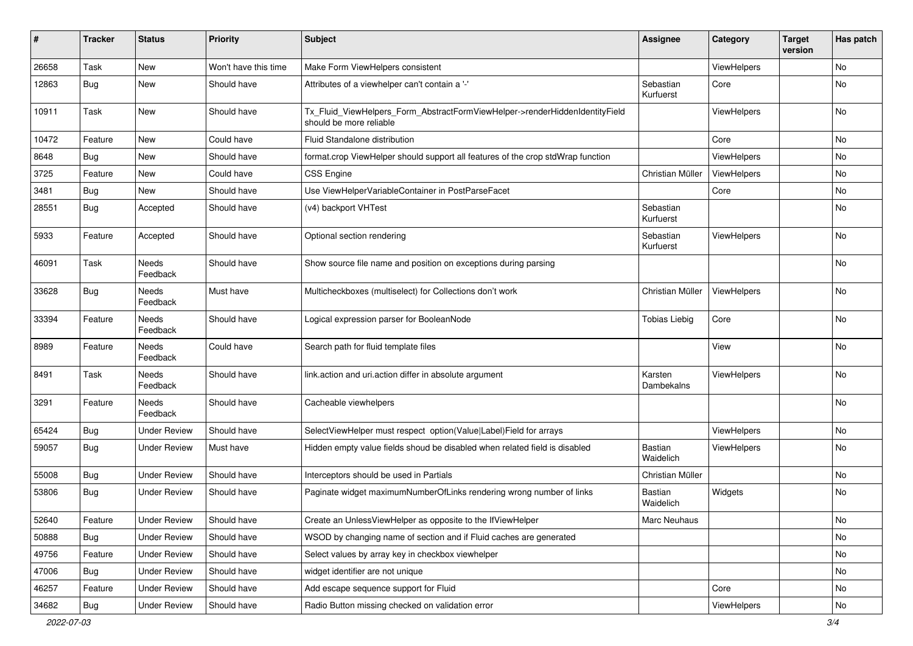| $\sharp$ | <b>Tracker</b> | <b>Status</b>       | <b>Priority</b>      | <b>Subject</b>                                                                                         | <b>Assignee</b>             | Category    | <b>Target</b><br>version | Has patch |
|----------|----------------|---------------------|----------------------|--------------------------------------------------------------------------------------------------------|-----------------------------|-------------|--------------------------|-----------|
| 26658    | Task           | New                 | Won't have this time | Make Form ViewHelpers consistent                                                                       |                             | ViewHelpers |                          | <b>No</b> |
| 12863    | <b>Bug</b>     | New                 | Should have          | Attributes of a viewhelper can't contain a '-'                                                         | Sebastian<br>Kurfuerst      | Core        |                          | No        |
| 10911    | Task           | New                 | Should have          | Tx_Fluid_ViewHelpers_Form_AbstractFormViewHelper->renderHiddenIdentityField<br>should be more reliable |                             | ViewHelpers |                          | No        |
| 10472    | Feature        | <b>New</b>          | Could have           | Fluid Standalone distribution                                                                          |                             | Core        |                          | No        |
| 8648     | Bug            | New                 | Should have          | format.crop ViewHelper should support all features of the crop stdWrap function                        |                             | ViewHelpers |                          | No        |
| 3725     | Feature        | New                 | Could have           | <b>CSS Engine</b>                                                                                      | Christian Müller            | ViewHelpers |                          | <b>No</b> |
| 3481     | Bug            | New                 | Should have          | Use ViewHelperVariableContainer in PostParseFacet                                                      |                             | Core        |                          | No        |
| 28551    | Bug            | Accepted            | Should have          | (v4) backport VHTest                                                                                   | Sebastian<br>Kurfuerst      |             |                          | No        |
| 5933     | Feature        | Accepted            | Should have          | Optional section rendering                                                                             | Sebastian<br>Kurfuerst      | ViewHelpers |                          | <b>No</b> |
| 46091    | Task           | Needs<br>Feedback   | Should have          | Show source file name and position on exceptions during parsing                                        |                             |             |                          | No        |
| 33628    | Bug            | Needs<br>Feedback   | Must have            | Multicheckboxes (multiselect) for Collections don't work                                               | Christian Müller            | ViewHelpers |                          | No        |
| 33394    | Feature        | Needs<br>Feedback   | Should have          | Logical expression parser for BooleanNode                                                              | <b>Tobias Liebig</b>        | Core        |                          | No        |
| 8989     | Feature        | Needs<br>Feedback   | Could have           | Search path for fluid template files                                                                   |                             | View        |                          | No        |
| 8491     | Task           | Needs<br>Feedback   | Should have          | link.action and uri.action differ in absolute argument                                                 | Karsten<br>Dambekalns       | ViewHelpers |                          | No        |
| 3291     | Feature        | Needs<br>Feedback   | Should have          | Cacheable viewhelpers                                                                                  |                             |             |                          | No        |
| 65424    | Bug            | <b>Under Review</b> | Should have          | SelectViewHelper must respect option(Value Label)Field for arrays                                      |                             | ViewHelpers |                          | No        |
| 59057    | Bug            | <b>Under Review</b> | Must have            | Hidden empty value fields shoud be disabled when related field is disabled                             | <b>Bastian</b><br>Waidelich | ViewHelpers |                          | <b>No</b> |
| 55008    | Bug            | <b>Under Review</b> | Should have          | Interceptors should be used in Partials                                                                | Christian Müller            |             |                          | No        |
| 53806    | Bug            | Under Review        | Should have          | Paginate widget maximumNumberOfLinks rendering wrong number of links                                   | <b>Bastian</b><br>Waidelich | Widgets     |                          | No        |
| 52640    | Feature        | <b>Under Review</b> | Should have          | Create an UnlessViewHelper as opposite to the IfViewHelper                                             | Marc Neuhaus                |             |                          | No        |
| 50888    | Bug            | <b>Under Review</b> | Should have          | WSOD by changing name of section and if Fluid caches are generated                                     |                             |             |                          | No        |
| 49756    | Feature        | <b>Under Review</b> | Should have          | Select values by array key in checkbox viewhelper                                                      |                             |             |                          | No        |
| 47006    | Bug            | <b>Under Review</b> | Should have          | widget identifier are not unique                                                                       |                             |             |                          | No        |
| 46257    | Feature        | <b>Under Review</b> | Should have          | Add escape sequence support for Fluid                                                                  |                             | Core        |                          | No        |
| 34682    | Bug            | <b>Under Review</b> | Should have          | Radio Button missing checked on validation error                                                       |                             | ViewHelpers |                          | No        |